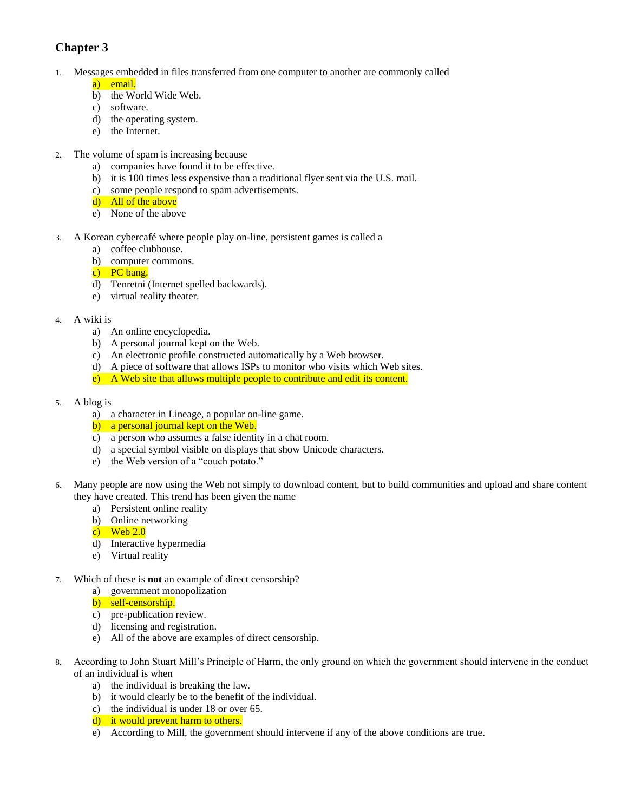## **Chapter 3**

- 1. Messages embedded in files transferred from one computer to another are commonly called a) email.
	- b) the World Wide Web.
	- c) software.
	- d) the operating system.
	- e) the Internet.
- 2. The volume of spam is increasing because
	- a) companies have found it to be effective.
	- b) it is 100 times less expensive than a traditional flyer sent via the U.S. mail.
	- c) some people respond to spam advertisements.
	- d) All of the above
	- e) None of the above
- 3. A Korean cybercafé where people play on-line, persistent games is called a
	- a) coffee clubhouse.
	- b) computer commons.
	- c) PC bang.
	- d) Tenretni (Internet spelled backwards).
	- e) virtual reality theater.
- 4. A wiki is
	- a) An online encyclopedia.
	- b) A personal journal kept on the Web.
	- c) An electronic profile constructed automatically by a Web browser.
	- d) A piece of software that allows ISPs to monitor who visits which Web sites.
	- e) A Web site that allows multiple people to contribute and edit its content.
- 5. A blog is
	- a) a character in Lineage, a popular on-line game.
	- b) a personal journal kept on the Web.
	- c) a person who assumes a false identity in a chat room.
	- d) a special symbol visible on displays that show Unicode characters.
	- e) the Web version of a "couch potato."
- 6. Many people are now using the Web not simply to download content, but to build communities and upload and share content they have created. This trend has been given the name
	- a) Persistent online reality
	- b) Online networking
	- c) Web  $2.0$
	- d) Interactive hypermedia
	- e) Virtual reality
- 7. Which of these is **not** an example of direct censorship?
	- a) government monopolization
	- b) self-censorship.
	- c) pre-publication review.
	- d) licensing and registration.
	- e) All of the above are examples of direct censorship.
- 8. According to John Stuart Mill's Principle of Harm, the only ground on which the government should intervene in the conduct of an individual is when
	- a) the individual is breaking the law.
	- b) it would clearly be to the benefit of the individual.
	- c) the individual is under 18 or over 65.
	- d) it would prevent harm to others.
	- e) According to Mill, the government should intervene if any of the above conditions are true.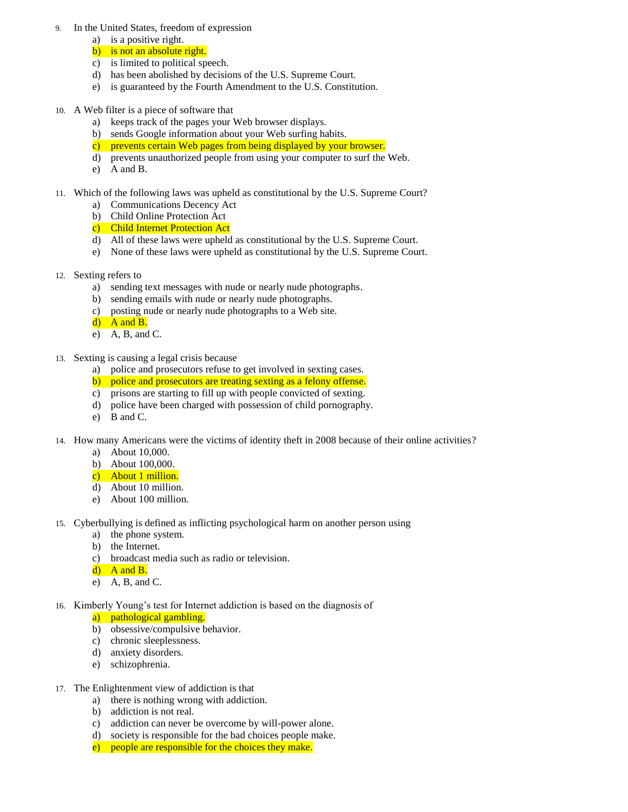- 9. In the United States, freedom of expression
	- a) is a positive right.
	- b) is not an absolute right.
	- c) is limited to political speech.
	- d) has been abolished by decisions of the U.S. Supreme Court.
	- e) is guaranteed by the Fourth Amendment to the U.S. Constitution.
- 10. A Web filter is a piece of software that
	- a) keeps track of the pages your Web browser displays.
	- b) sends Google information about your Web surfing habits.
	- c) prevents certain Web pages from being displayed by your browser.
	- d) prevents unauthorized people from using your computer to surf the Web.
	- e) A and B.
- 11. Which of the following laws was upheld as constitutional by the U.S. Supreme Court?
	- a) Communications Decency Act
	- b) Child Online Protection Act
	- c) Child Internet Protection Act
	- d) All of these laws were upheld as constitutional by the U.S. Supreme Court.
	- e) None of these laws were upheld as constitutional by the U.S. Supreme Court.
- 12. Sexting refers to
	- a) sending text messages with nude or nearly nude photographs.
	- b) sending emails with nude or nearly nude photographs.
	- c) posting nude or nearly nude photographs to a Web site.
	- d) A and B.
	- e) A, B, and C.
- 13. Sexting is causing a legal crisis because
	- a) police and prosecutors refuse to get involved in sexting cases.
	- b) police and prosecutors are treating sexting as a felony offense.
	- c) prisons are starting to fill up with people convicted of sexting.
	- d) police have been charged with possession of child pornography.
	- e) B and C.
- 14. How many Americans were the victims of identity theft in 2008 because of their online activities?
	- a) About 10,000.
	- b) About 100,000.
	- c) About 1 million.
	- d) About 10 million.
	- e) About 100 million.
- 15. Cyberbullying is defined as inflicting psychological harm on another person using
	- a) the phone system.
	- b) the Internet.
	- c) broadcast media such as radio or television.
	- $d)$  A and B.
	- e) A, B, and C.
- 16. Kimberly Young's test for Internet addiction is based on the diagnosis of
	- a) pathological gambling.
	- b) obsessive/compulsive behavior.
	- c) chronic sleeplessness.
	- d) anxiety disorders.
	- e) schizophrenia.
- 17. The Enlightenment view of addiction is that
	- a) there is nothing wrong with addiction.
	- b) addiction is not real.
	- c) addiction can never be overcome by will-power alone.
	- d) society is responsible for the bad choices people make.
	- e) people are responsible for the choices they make.